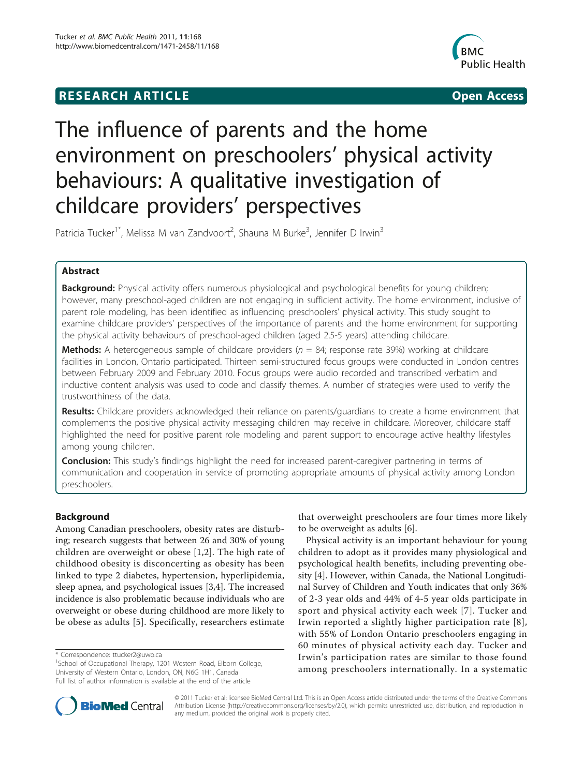## **RESEARCH ARTICLE Example 2014 CONSUMING ACCESS**



# The influence of parents and the home environment on preschoolers' physical activity behaviours: A qualitative investigation of childcare providers' perspectives

Patricia Tucker<sup>1\*</sup>, Melissa M van Zandvoort<sup>2</sup>, Shauna M Burke<sup>3</sup>, Jennifer D Irwin<sup>3</sup>

## Abstract

**Background:** Physical activity offers numerous physiological and psychological benefits for young children; however, many preschool-aged children are not engaging in sufficient activity. The home environment, inclusive of parent role modeling, has been identified as influencing preschoolers' physical activity. This study sought to examine childcare providers' perspectives of the importance of parents and the home environment for supporting the physical activity behaviours of preschool-aged children (aged 2.5-5 years) attending childcare.

**Methods:** A heterogeneous sample of childcare providers ( $n = 84$ ; response rate 39%) working at childcare facilities in London, Ontario participated. Thirteen semi-structured focus groups were conducted in London centres between February 2009 and February 2010. Focus groups were audio recorded and transcribed verbatim and inductive content analysis was used to code and classify themes. A number of strategies were used to verify the trustworthiness of the data.

Results: Childcare providers acknowledged their reliance on parents/guardians to create a home environment that complements the positive physical activity messaging children may receive in childcare. Moreover, childcare staff highlighted the need for positive parent role modeling and parent support to encourage active healthy lifestyles among young children.

**Conclusion:** This study's findings highlight the need for increased parent-caregiver partnering in terms of communication and cooperation in service of promoting appropriate amounts of physical activity among London preschoolers.

## Background

Among Canadian preschoolers, obesity rates are disturbing; research suggests that between 26 and 30% of young children are overweight or obese [[1](#page-5-0),[2\]](#page-5-0). The high rate of childhood obesity is disconcerting as obesity has been linked to type 2 diabetes, hypertension, hyperlipidemia, sleep apnea, and psychological issues [\[3,4](#page-5-0)]. The increased incidence is also problematic because individuals who are overweight or obese during childhood are more likely to be obese as adults [[5](#page-5-0)]. Specifically, researchers estimate

that overweight preschoolers are four times more likely to be overweight as adults [\[6\]](#page-5-0).

Physical activity is an important behaviour for young children to adopt as it provides many physiological and psychological health benefits, including preventing obesity [[4](#page-5-0)]. However, within Canada, the National Longitudinal Survey of Children and Youth indicates that only 36% of 2-3 year olds and 44% of 4-5 year olds participate in sport and physical activity each week [[7\]](#page-5-0). Tucker and Irwin reported a slightly higher participation rate [[8\]](#page-6-0), with 55% of London Ontario preschoolers engaging in 60 minutes of physical activity each day. Tucker and Irwin's participation rates are similar to those found among preschoolers internationally. In a systematic



© 2011 Tucker et al; licensee BioMed Central Ltd. This is an Open Access article distributed under the terms of the Creative Commons Attribution License [\(http://creativecommons.org/licenses/by/2.0](http://creativecommons.org/licenses/by/2.0)), which permits unrestricted use, distribution, and reproduction in any medium, provided the original work is properly cited.

<sup>\*</sup> Correspondence: [ttucker2@uwo.ca](mailto:ttucker2@uwo.ca)

<sup>&</sup>lt;sup>1</sup>School of Occupational Therapy, 1201 Western Road, Elborn College, University of Western Ontario, London, ON, N6G 1H1, Canada Full list of author information is available at the end of the article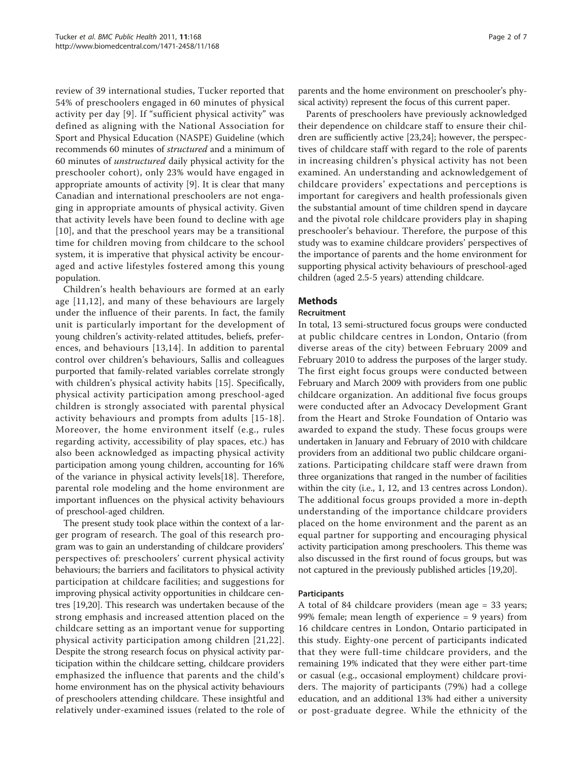review of 39 international studies, Tucker reported that 54% of preschoolers engaged in 60 minutes of physical activity per day [[9](#page-6-0)]. If "sufficient physical activity" was defined as aligning with the National Association for Sport and Physical Education (NASPE) Guideline (which recommends 60 minutes of structured and a minimum of 60 minutes of unstructured daily physical activity for the preschooler cohort), only 23% would have engaged in appropriate amounts of activity [[9\]](#page-6-0). It is clear that many Canadian and international preschoolers are not engaging in appropriate amounts of physical activity. Given that activity levels have been found to decline with age [[10](#page-6-0)], and that the preschool years may be a transitional time for children moving from childcare to the school system, it is imperative that physical activity be encouraged and active lifestyles fostered among this young population.

Children's health behaviours are formed at an early age [[11](#page-6-0),[12](#page-6-0)], and many of these behaviours are largely under the influence of their parents. In fact, the family unit is particularly important for the development of young children's activity-related attitudes, beliefs, preferences, and behaviours [[13](#page-6-0),[14](#page-6-0)]. In addition to parental control over children's behaviours, Sallis and colleagues purported that family-related variables correlate strongly with children's physical activity habits [\[15](#page-6-0)]. Specifically, physical activity participation among preschool-aged children is strongly associated with parental physical activity behaviours and prompts from adults [[15-18\]](#page-6-0). Moreover, the home environment itself (e.g., rules regarding activity, accessibility of play spaces, etc.) has also been acknowledged as impacting physical activity participation among young children, accounting for 16% of the variance in physical activity levels[[18\]](#page-6-0). Therefore, parental role modeling and the home environment are important influences on the physical activity behaviours of preschool-aged children.

The present study took place within the context of a larger program of research. The goal of this research program was to gain an understanding of childcare providers' perspectives of: preschoolers' current physical activity behaviours; the barriers and facilitators to physical activity participation at childcare facilities; and suggestions for improving physical activity opportunities in childcare centres [[19](#page-6-0),[20](#page-6-0)]. This research was undertaken because of the strong emphasis and increased attention placed on the childcare setting as an important venue for supporting physical activity participation among children [[21](#page-6-0),[22\]](#page-6-0). Despite the strong research focus on physical activity participation within the childcare setting, childcare providers emphasized the influence that parents and the child's home environment has on the physical activity behaviours of preschoolers attending childcare. These insightful and relatively under-examined issues (related to the role of

parents and the home environment on preschooler's physical activity) represent the focus of this current paper.

Parents of preschoolers have previously acknowledged their dependence on childcare staff to ensure their children are sufficiently active [[23](#page-6-0),[24\]](#page-6-0); however, the perspectives of childcare staff with regard to the role of parents in increasing children's physical activity has not been examined. An understanding and acknowledgement of childcare providers' expectations and perceptions is important for caregivers and health professionals given the substantial amount of time children spend in daycare and the pivotal role childcare providers play in shaping preschooler's behaviour. Therefore, the purpose of this study was to examine childcare providers' perspectives of the importance of parents and the home environment for supporting physical activity behaviours of preschool-aged children (aged 2.5-5 years) attending childcare.

## Methods

## Recruitment

In total, 13 semi-structured focus groups were conducted at public childcare centres in London, Ontario (from diverse areas of the city) between February 2009 and February 2010 to address the purposes of the larger study. The first eight focus groups were conducted between February and March 2009 with providers from one public childcare organization. An additional five focus groups were conducted after an Advocacy Development Grant from the Heart and Stroke Foundation of Ontario was awarded to expand the study. These focus groups were undertaken in January and February of 2010 with childcare providers from an additional two public childcare organizations. Participating childcare staff were drawn from three organizations that ranged in the number of facilities within the city (i.e., 1, 12, and 13 centres across London). The additional focus groups provided a more in-depth understanding of the importance childcare providers placed on the home environment and the parent as an equal partner for supporting and encouraging physical activity participation among preschoolers. This theme was also discussed in the first round of focus groups, but was not captured in the previously published articles [\[19,20](#page-6-0)].

## Participants

A total of 84 childcare providers (mean age = 33 years; 99% female; mean length of experience = 9 years) from 16 childcare centres in London, Ontario participated in this study. Eighty-one percent of participants indicated that they were full-time childcare providers, and the remaining 19% indicated that they were either part-time or casual (e.g., occasional employment) childcare providers. The majority of participants (79%) had a college education, and an additional 13% had either a university or post-graduate degree. While the ethnicity of the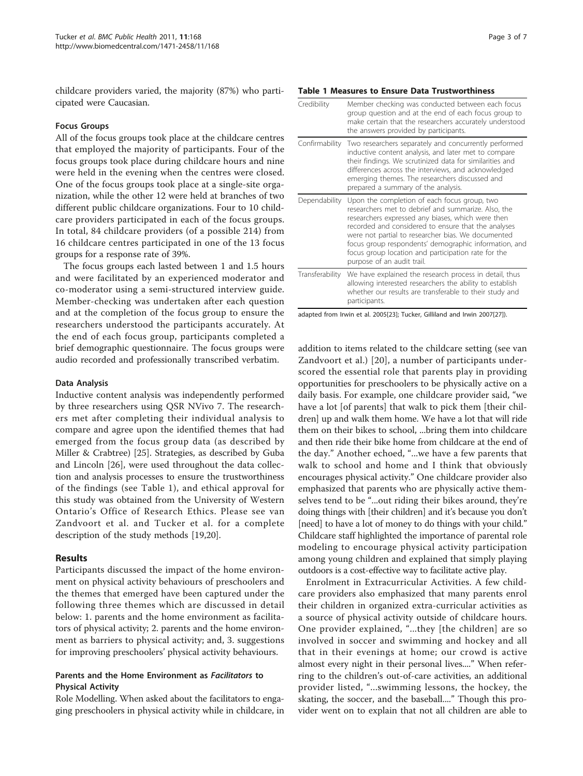childcare providers varied, the majority (87%) who participated were Caucasian.

#### Focus Groups

All of the focus groups took place at the childcare centres that employed the majority of participants. Four of the focus groups took place during childcare hours and nine were held in the evening when the centres were closed. One of the focus groups took place at a single-site organization, while the other 12 were held at branches of two different public childcare organizations. Four to 10 childcare providers participated in each of the focus groups. In total, 84 childcare providers (of a possible 214) from 16 childcare centres participated in one of the 13 focus groups for a response rate of 39%.

The focus groups each lasted between 1 and 1.5 hours and were facilitated by an experienced moderator and co-moderator using a semi-structured interview guide. Member-checking was undertaken after each question and at the completion of the focus group to ensure the researchers understood the participants accurately. At the end of each focus group, participants completed a brief demographic questionnaire. The focus groups were audio recorded and professionally transcribed verbatim.

#### Data Analysis

Inductive content analysis was independently performed by three researchers using QSR NVivo 7. The researchers met after completing their individual analysis to compare and agree upon the identified themes that had emerged from the focus group data (as described by Miller & Crabtree) [[25\]](#page-6-0). Strategies, as described by Guba and Lincoln [[26\]](#page-6-0), were used throughout the data collection and analysis processes to ensure the trustworthiness of the findings (see Table 1), and ethical approval for this study was obtained from the University of Western Ontario's Office of Research Ethics. Please see van Zandvoort et al. and Tucker et al. for a complete description of the study methods [[19,20\]](#page-6-0).

### Results

Participants discussed the impact of the home environment on physical activity behaviours of preschoolers and the themes that emerged have been captured under the following three themes which are discussed in detail below: 1. parents and the home environment as facilitators of physical activity; 2. parents and the home environment as barriers to physical activity; and, 3. suggestions for improving preschoolers' physical activity behaviours.

## Parents and the Home Environment as Facilitators to Physical Activity

Role Modelling. When asked about the facilitators to engaging preschoolers in physical activity while in childcare, in

#### Table 1 Measures to Ensure Data Trustworthiness

| Credibility     | Member checking was conducted between each focus<br>group question and at the end of each focus group to<br>make certain that the researchers accurately understood<br>the answers provided by participants.                                                                                                                                                                                                        |
|-----------------|---------------------------------------------------------------------------------------------------------------------------------------------------------------------------------------------------------------------------------------------------------------------------------------------------------------------------------------------------------------------------------------------------------------------|
| Confirmability  | Two researchers separately and concurrently performed<br>inductive content analysis, and later met to compare<br>their findings. We scrutinized data for similarities and<br>differences across the interviews, and acknowledged<br>emerging themes. The researchers discussed and<br>prepared a summary of the analysis.                                                                                           |
| Dependability   | Upon the completion of each focus group, two<br>researchers met to debrief and summarize. Also, the<br>researchers expressed any biases, which were then<br>recorded and considered to ensure that the analyses<br>were not partial to researcher bias. We documented<br>focus group respondents' demographic information, and<br>focus group location and participation rate for the<br>purpose of an audit trail. |
| Transferability | We have explained the research process in detail, thus<br>allowing interested researchers the ability to establish<br>whether our results are transferable to their study and<br>participants.                                                                                                                                                                                                                      |

adapted from Irwin et al. 2005[\[23\]](#page-6-0); Tucker, Gilliland and Irwin 2007[[27\]](#page-6-0)).

addition to items related to the childcare setting (see van Zandvoort et al.) [[20\]](#page-6-0), a number of participants underscored the essential role that parents play in providing opportunities for preschoolers to be physically active on a daily basis. For example, one childcare provider said, "we have a lot [of parents] that walk to pick them [their children] up and walk them home. We have a lot that will ride them on their bikes to school, ...bring them into childcare and then ride their bike home from childcare at the end of the day." Another echoed, "...we have a few parents that walk to school and home and I think that obviously encourages physical activity." One childcare provider also emphasized that parents who are physically active themselves tend to be "...out riding their bikes around, they're doing things with [their children] and it's because you don't [need] to have a lot of money to do things with your child." Childcare staff highlighted the importance of parental role modeling to encourage physical activity participation among young children and explained that simply playing outdoors is a cost-effective way to facilitate active play.

Enrolment in Extracurricular Activities. A few childcare providers also emphasized that many parents enrol their children in organized extra-curricular activities as a source of physical activity outside of childcare hours. One provider explained, "...they [the children] are so involved in soccer and swimming and hockey and all that in their evenings at home; our crowd is active almost every night in their personal lives...." When referring to the children's out-of-care activities, an additional provider listed, "...swimming lessons, the hockey, the skating, the soccer, and the baseball...." Though this provider went on to explain that not all children are able to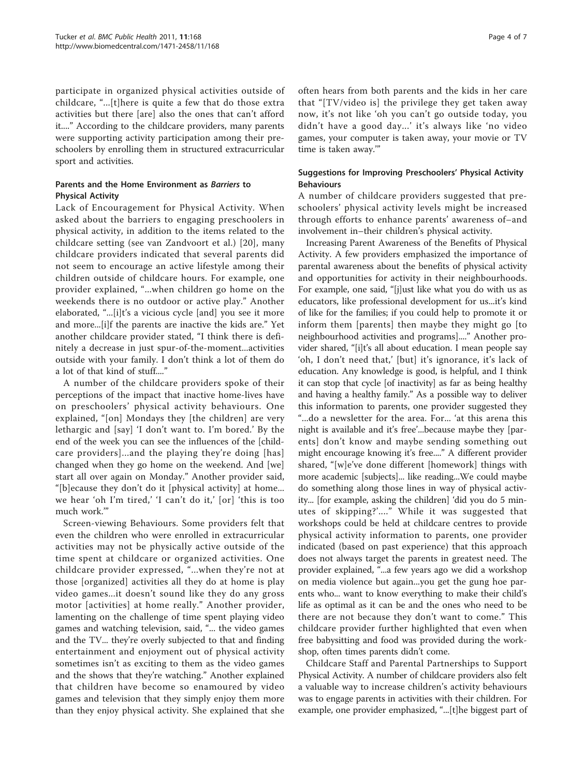participate in organized physical activities outside of childcare, "...[t]here is quite a few that do those extra activities but there [are] also the ones that can't afford it...." According to the childcare providers, many parents were supporting activity participation among their preschoolers by enrolling them in structured extracurricular sport and activities.

## Parents and the Home Environment as Barriers to Physical Activity

Lack of Encouragement for Physical Activity. When asked about the barriers to engaging preschoolers in physical activity, in addition to the items related to the childcare setting (see van Zandvoort et al.) [\[20](#page-6-0)], many childcare providers indicated that several parents did not seem to encourage an active lifestyle among their children outside of childcare hours. For example, one provider explained, "...when children go home on the weekends there is no outdoor or active play." Another elaborated, "...[i]t's a vicious cycle [and] you see it more and more...[i]f the parents are inactive the kids are." Yet another childcare provider stated, "I think there is definitely a decrease in just spur-of-the-moment...activities outside with your family. I don't think a lot of them do a lot of that kind of stuff...."

A number of the childcare providers spoke of their perceptions of the impact that inactive home-lives have on preschoolers' physical activity behaviours. One explained, "[on] Mondays they [the children] are very lethargic and [say] 'I don't want to. I'm bored.' By the end of the week you can see the influences of the [childcare providers]...and the playing they're doing [has] changed when they go home on the weekend. And [we] start all over again on Monday." Another provider said, "[b]ecause they don't do it [physical activity] at home... we hear 'oh I'm tired,' 'I can't do it,' [or] 'this is too much work.'"

Screen-viewing Behaviours. Some providers felt that even the children who were enrolled in extracurricular activities may not be physically active outside of the time spent at childcare or organized activities. One childcare provider expressed, "...when they're not at those [organized] activities all they do at home is play video games...it doesn't sound like they do any gross motor [activities] at home really." Another provider, lamenting on the challenge of time spent playing video games and watching television, said, "... the video games and the TV... they're overly subjected to that and finding entertainment and enjoyment out of physical activity sometimes isn't as exciting to them as the video games and the shows that they're watching." Another explained that children have become so enamoured by video games and television that they simply enjoy them more than they enjoy physical activity. She explained that she

often hears from both parents and the kids in her care that "[TV/video is] the privilege they get taken away now, it's not like 'oh you can't go outside today, you didn't have a good day...' it's always like 'no video games, your computer is taken away, your movie or TV time is taken away.'"

## Suggestions for Improving Preschoolers' Physical Activity Behaviours

A number of childcare providers suggested that preschoolers' physical activity levels might be increased through efforts to enhance parents' awareness of–and involvement in–their children's physical activity.

Increasing Parent Awareness of the Benefits of Physical Activity. A few providers emphasized the importance of parental awareness about the benefits of physical activity and opportunities for activity in their neighbourhoods. For example, one said, "[j]ust like what you do with us as educators, like professional development for us...it's kind of like for the families; if you could help to promote it or inform them [parents] then maybe they might go [to neighbourhood activities and programs]...." Another provider shared, "[i]t's all about education. I mean people say 'oh, I don't need that,' [but] it's ignorance, it's lack of education. Any knowledge is good, is helpful, and I think it can stop that cycle [of inactivity] as far as being healthy and having a healthy family." As a possible way to deliver this information to parents, one provider suggested they "...do a newsletter for the area. For... 'at this arena this night is available and it's free'...because maybe they [parents] don't know and maybe sending something out might encourage knowing it's free...." A different provider shared, "[w]e've done different [homework] things with more academic [subjects]... like reading...We could maybe do something along those lines in way of physical activity... [for example, asking the children] 'did you do 5 minutes of skipping?'...." While it was suggested that workshops could be held at childcare centres to provide physical activity information to parents, one provider indicated (based on past experience) that this approach does not always target the parents in greatest need. The provider explained, "...a few years ago we did a workshop on media violence but again...you get the gung hoe parents who... want to know everything to make their child's life as optimal as it can be and the ones who need to be there are not because they don't want to come." This childcare provider further highlighted that even when free babysitting and food was provided during the workshop, often times parents didn't come.

Childcare Staff and Parental Partnerships to Support Physical Activity. A number of childcare providers also felt a valuable way to increase children's activity behaviours was to engage parents in activities with their children. For example, one provider emphasized, "...[t]he biggest part of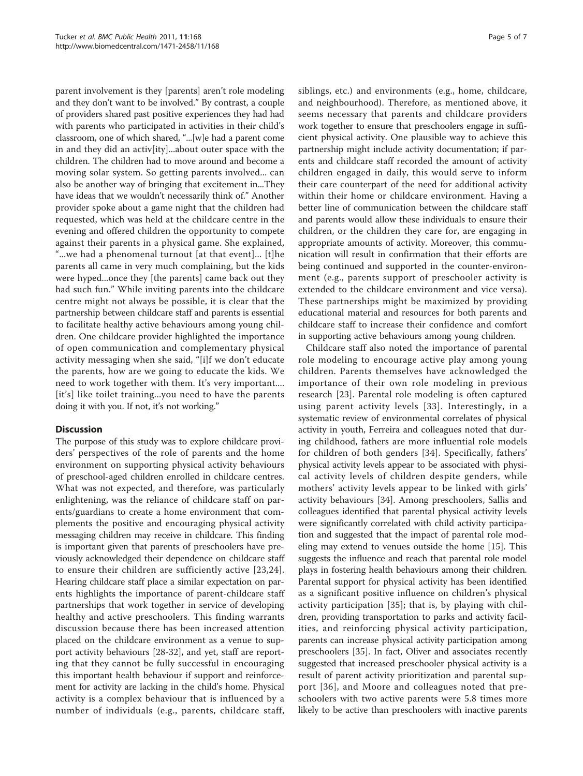parent involvement is they [parents] aren't role modeling and they don't want to be involved." By contrast, a couple of providers shared past positive experiences they had had with parents who participated in activities in their child's classroom, one of which shared, "...[w]e had a parent come in and they did an activ[ity]...about outer space with the children. The children had to move around and become a moving solar system. So getting parents involved... can also be another way of bringing that excitement in...They have ideas that we wouldn't necessarily think of." Another provider spoke about a game night that the children had requested, which was held at the childcare centre in the evening and offered children the opportunity to compete against their parents in a physical game. She explained, "...we had a phenomenal turnout [at that event]... [t]he parents all came in very much complaining, but the kids were hyped...once they [the parents] came back out they had such fun." While inviting parents into the childcare centre might not always be possible, it is clear that the partnership between childcare staff and parents is essential to facilitate healthy active behaviours among young children. One childcare provider highlighted the importance of open communication and complementary physical activity messaging when she said, "[i]f we don't educate the parents, how are we going to educate the kids. We need to work together with them. It's very important.... [it's] like toilet training...you need to have the parents doing it with you. If not, it's not working."

## **Discussion**

The purpose of this study was to explore childcare providers' perspectives of the role of parents and the home environment on supporting physical activity behaviours of preschool-aged children enrolled in childcare centres. What was not expected, and therefore, was particularly enlightening, was the reliance of childcare staff on parents/guardians to create a home environment that complements the positive and encouraging physical activity messaging children may receive in childcare. This finding is important given that parents of preschoolers have previously acknowledged their dependence on childcare staff to ensure their children are sufficiently active [[23](#page-6-0),[24](#page-6-0)]. Hearing childcare staff place a similar expectation on parents highlights the importance of parent-childcare staff partnerships that work together in service of developing healthy and active preschoolers. This finding warrants discussion because there has been increased attention placed on the childcare environment as a venue to support activity behaviours [\[28-32](#page-6-0)], and yet, staff are reporting that they cannot be fully successful in encouraging this important health behaviour if support and reinforcement for activity are lacking in the child's home. Physical activity is a complex behaviour that is influenced by a number of individuals (e.g., parents, childcare staff, siblings, etc.) and environments (e.g., home, childcare, and neighbourhood). Therefore, as mentioned above, it seems necessary that parents and childcare providers work together to ensure that preschoolers engage in sufficient physical activity. One plausible way to achieve this partnership might include activity documentation; if parents and childcare staff recorded the amount of activity children engaged in daily, this would serve to inform their care counterpart of the need for additional activity within their home or childcare environment. Having a better line of communication between the childcare staff and parents would allow these individuals to ensure their children, or the children they care for, are engaging in appropriate amounts of activity. Moreover, this communication will result in confirmation that their efforts are being continued and supported in the counter-environment (e.g., parents support of preschooler activity is extended to the childcare environment and vice versa). These partnerships might be maximized by providing educational material and resources for both parents and childcare staff to increase their confidence and comfort in supporting active behaviours among young children.

Childcare staff also noted the importance of parental role modeling to encourage active play among young children. Parents themselves have acknowledged the importance of their own role modeling in previous research [[23\]](#page-6-0). Parental role modeling is often captured using parent activity levels [[33\]](#page-6-0). Interestingly, in a systematic review of environmental correlates of physical activity in youth, Ferreira and colleagues noted that during childhood, fathers are more influential role models for children of both genders [\[34\]](#page-6-0). Specifically, fathers' physical activity levels appear to be associated with physical activity levels of children despite genders, while mothers' activity levels appear to be linked with girls' activity behaviours [[34\]](#page-6-0). Among preschoolers, Sallis and colleagues identified that parental physical activity levels were significantly correlated with child activity participation and suggested that the impact of parental role modeling may extend to venues outside the home [[15\]](#page-6-0). This suggests the influence and reach that parental role model plays in fostering health behaviours among their children. Parental support for physical activity has been identified as a significant positive influence on children's physical activity participation [[35\]](#page-6-0); that is, by playing with children, providing transportation to parks and activity facilities, and reinforcing physical activity participation, parents can increase physical activity participation among preschoolers [\[35](#page-6-0)]. In fact, Oliver and associates recently suggested that increased preschooler physical activity is a result of parent activity prioritization and parental support [\[36\]](#page-6-0), and Moore and colleagues noted that preschoolers with two active parents were 5.8 times more likely to be active than preschoolers with inactive parents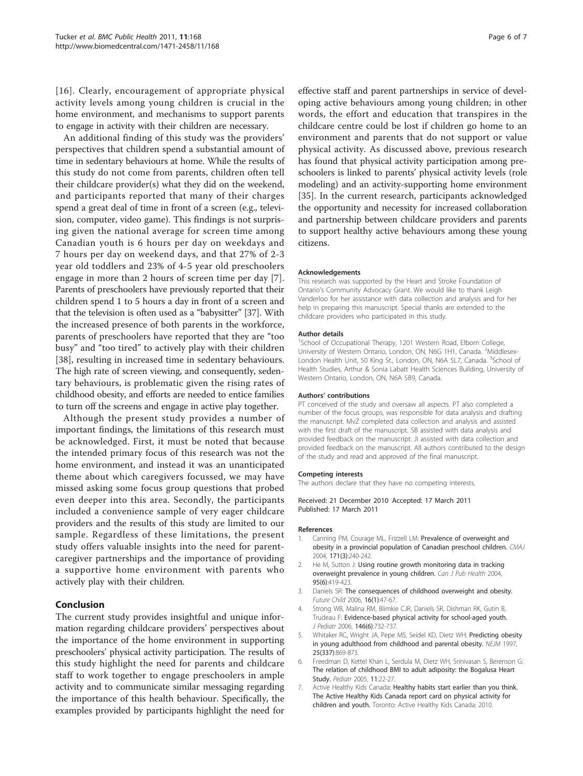<span id="page-5-0"></span>[[16\]](#page-6-0). Clearly, encouragement of appropriate physical activity levels among young children is crucial in the home environment, and mechanisms to support parents to engage in activity with their children are necessary.

An additional finding of this study was the providers' perspectives that children spend a substantial amount of time in sedentary behaviours at home. While the results of this study do not come from parents, children often tell their childcare provider(s) what they did on the weekend, and participants reported that many of their charges spend a great deal of time in front of a screen (e.g., television, computer, video game). This findings is not surprising given the national average for screen time among Canadian youth is 6 hours per day on weekdays and 7 hours per day on weekend days, and that 27% of 2-3 year old toddlers and 23% of 4-5 year old preschoolers engage in more than 2 hours of screen time per day [7]. Parents of preschoolers have previously reported that their children spend 1 to 5 hours a day in front of a screen and that the television is often used as a "babysitter" [[37](#page-6-0)]. With the increased presence of both parents in the workforce, parents of preschoolers have reported that they are "too busy" and "too tired" to actively play with their children [[38\]](#page-6-0), resulting in increased time in sedentary behaviours. The high rate of screen viewing, and consequently, sedentary behaviours, is problematic given the rising rates of childhood obesity, and efforts are needed to entice families to turn off the screens and engage in active play together.

Although the present study provides a number of important findings, the limitations of this research must be acknowledged. First, it must be noted that because the intended primary focus of this research was not the home environment, and instead it was an unanticipated theme about which caregivers focussed, we may have missed asking some focus group questions that probed even deeper into this area. Secondly, the participants included a convenience sample of very eager childcare providers and the results of this study are limited to our sample. Regardless of these limitations, the present study offers valuable insights into the need for parentcaregiver partnerships and the importance of providing a supportive home environment with parents who actively play with their children.

## Conclusion

The current study provides insightful and unique information regarding childcare providers' perspectives about the importance of the home environment in supporting preschoolers' physical activity participation. The results of this study highlight the need for parents and childcare staff to work together to engage preschoolers in ample activity and to communicate similar messaging regarding the importance of this health behaviour. Specifically, the examples provided by participants highlight the need for

effective staff and parent partnerships in service of developing active behaviours among young children; in other words, the effort and education that transpires in the childcare centre could be lost if children go home to an environment and parents that do not support or value physical activity. As discussed above, previous research has found that physical activity participation among preschoolers is linked to parents' physical activity levels (role modeling) and an activity-supporting home environment [[35\]](#page-6-0). In the current research, participants acknowledged the opportunity and necessity for increased collaboration and partnership between childcare providers and parents to support healthy active behaviours among these young citizens.

#### Acknowledgements

This research was supported by the Heart and Stroke Foundation of Ontario's Community Advocacy Grant. We would like to thank Leigh Vanderloo for her assistance with data collection and analysis and for her help in preparing this manuscript. Special thanks are extended to the childcare providers who participated in this study.

#### Author details

<sup>1</sup>School of Occupational Therapy, 1201 Western Road, Elborn College, University of Western Ontario, London, ON, N6G 1H1, Canada. <sup>2</sup>Middlesex-London Health Unit, 50 King St., London, ON, N6A 5L7, Canada. <sup>3</sup>School of Health Studies, Arthur & Sonia Labatt Health Sciences Building, University of Western Ontario, London, ON, N6A 5B9, Canada.

#### Authors' contributions

PT conceived of the study and oversaw all aspects. PT also completed a number of the focus groups, was responsible for data analysis and drafting the manuscript. MvZ completed data collection and analysis and assisted with the first draft of the manuscript. SB assisted with data analysis and provided feedback on the manuscript. JI assisted with data collection and provided feedback on the manuscript. All authors contributed to the design of the study and read and approved of the final manuscript.

#### Competing interests

The authors declare that they have no competing interests.

#### Received: 21 December 2010 Accepted: 17 March 2011 Published: 17 March 2011

#### References

- 1. Canning PM, Courage ML, Frizzell LM: [Prevalence of overweight and](http://www.ncbi.nlm.nih.gov/pubmed/15289421?dopt=Abstract) [obesity in a provincial population of Canadian preschool children.](http://www.ncbi.nlm.nih.gov/pubmed/15289421?dopt=Abstract) CMAJ 2004, 171(3):240-242.
- 2. He M, Sutton J: Using routine growth monitoring data in tracking overweight prevalence in young children. Can J Pub Health 2004, 95(6):419-423.
- 3. Daniels SR: [The consequences of childhood overweight and obesity.](http://www.ncbi.nlm.nih.gov/pubmed/16532658?dopt=Abstract) Future Child 2006, 16(1):47-67.
- 4. Strong WB, Malina RM, Blimkie CJR, Daniels SR, Dishman RK, Gutin B, Trudeau F: Evidence-based physical activity for school-aged youth. J Pediatr 2006, 146(6):732-737.
- 5. Whitaker RC, Wright JA, Pepe MS, Seidel KD, Dietz WH: Predicting obesity in young adulthood from childhood and parental obesity. NEJM 1997, 25(337):869-873.
- 6. Freedman D, Kettel Khan L, Serdula M, Dietz WH, Srinivasan S, Berenson G: The relation of childhood BMI to adult adiposity: the Bogalusa Heart Study. Pediatr 2005, 11:22-27.
- 7. Active Healthy Kids Canada: Healthy habits start earlier than you think. The Active Healthy Kids Canada report card on physical activity for children and youth. Toronto: Active Healthy Kids Canada; 2010.